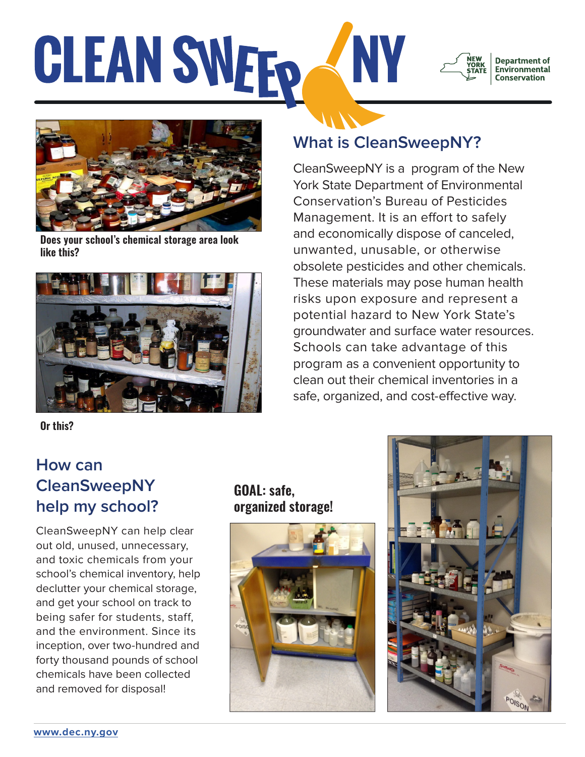### **CLEAN SWEFO** NV **Department of Environmental Conservation**



**Does your school's chemical storage area look like this?**



**Or this?**

# **What is CleanSweepNY?**

CleanSweepNY is a program of the New York State Department of Environmental Conservation's Bureau of Pesticides Management. It is an effort to safely and economically dispose of canceled, unwanted, unusable, or otherwise obsolete pesticides and other chemicals. These materials may pose human health risks upon exposure and represent a potential hazard to New York State's groundwater and surface water resources. Schools can take advantage of this program as a convenient opportunity to clean out their chemical inventories in a safe, organized, and cost-effective way.

### **How can CleanSweepNY help my school?**

CleanSweepNY can help clear out old, unused, unnecessary, and toxic chemicals from your school's chemical inventory, help declutter your chemical storage, and get your school on track to being safer for students, staff, and the environment. Since its inception, over two-hundred and forty thousand pounds of school chemicals have been collected and removed for disposal!

### **GOAL: safe, organized storage!**